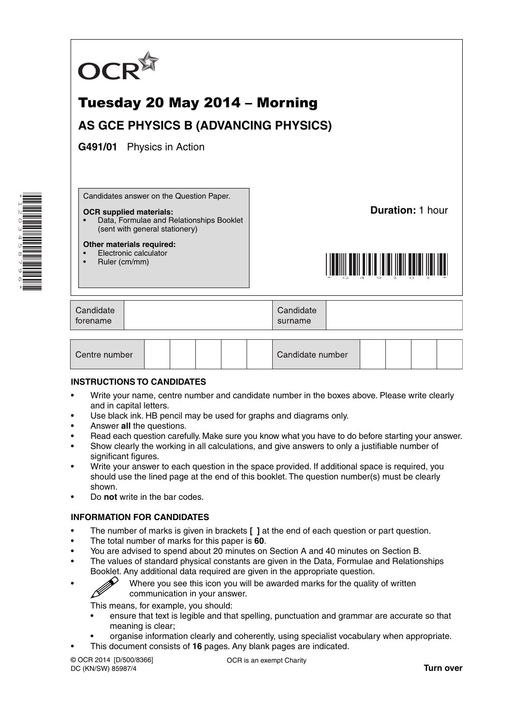

| Centre number |  |  |  |  |  | Candidate number |  |  |  |  |  |
|---------------|--|--|--|--|--|------------------|--|--|--|--|--|
|---------------|--|--|--|--|--|------------------|--|--|--|--|--|

#### **INSTRUCTIONS TO CANDIDATES**

- Write your name, centre number and candidate number in the boxes above. Please write clearly and in capital letters.
- Use black ink. HB pencil may be used for graphs and diagrams only.
- Answer **all** the questions.
- Read each question carefully. Make sure you know what you have to do before starting your answer.
- Show clearly the working in all calculations, and give answers to only a justifiable number of significant figures.
- Write your answer to each question in the space provided. If additional space is required, you should use the lined page at the end of this booklet. The question number(s) must be clearly shown.
- Do **not** write in the bar codes.

#### **INFORMATION FOR CANDIDATES**

- The number of marks is given in brackets **[ ]** at the end of each question or part question.
- The total number of marks for this paper is **60**.
- You are advised to spend about 20 minutes on Section A and 40 minutes on Section B.
- The values of standard physical constants are given in the Data, Formulae and Relationships Booklet. Any additional data required are given in the appropriate question.

\*1203458796\*

• Where you see this icon you will be awarded marks for the quality of written communication in your answer.

This means, for example, you should:

- ensure that text is legible and that spelling, punctuation and grammar are accurate so that meaning is clear;
- organise information clearly and coherently, using specialist vocabulary when appropriate.
- This document consists of **16** pages. Any blank pages are indicated.

© OCR 2014 [D/500/8366] DC (KN/SW) 85987/4

OCR is an exempt Charity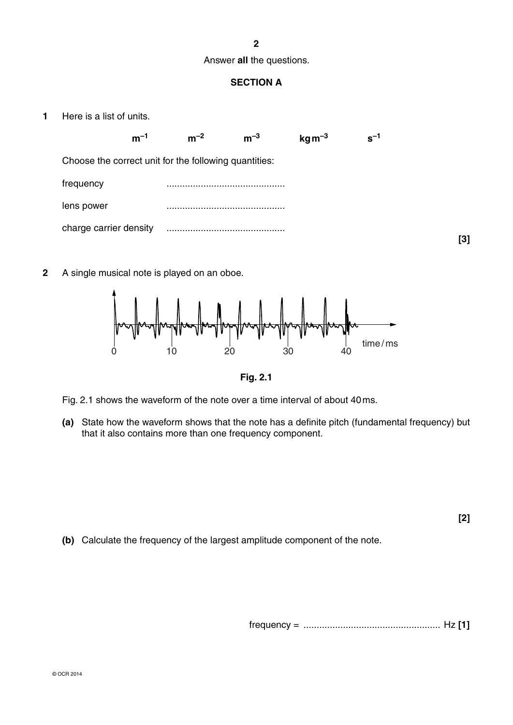#### **2**

#### Answer **all** the questions.

# **SECTION A**

**1** Here is a list of units.



**2** A single musical note is played on an oboe.



**Fig. 2.1**

- Fig. 2.1 shows the waveform of the note over a time interval of about 40 ms.
- **(a)** State how the waveform shows that the note has a definite pitch (fundamental frequency) but that it also contains more than one frequency component.

**[2]**

 **(b)** Calculate the frequency of the largest amplitude component of the note.

frequency = .................................................... Hz **[1]**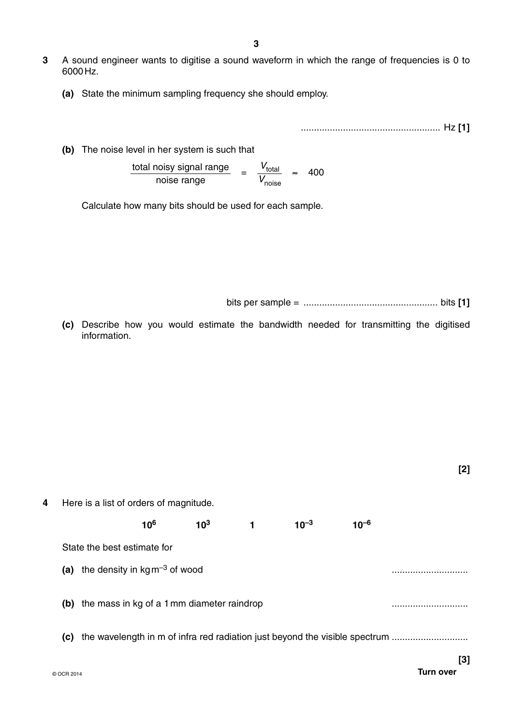- **3** A sound engineer wants to digitise a sound waveform in which the range of frequencies is 0 to 6000 Hz.
	- **(a)** State the minimum sampling frequency she should employ.

..................................................... Hz **[1]**

 **(b)** The noise level in her system is such that

 $\frac{\text{total noisy signal range}}{\text{noise range}} = \frac{V_{\text{total}}}{V_{\text{noise}}}$ *V*noise ≈ 400

Calculate how many bits should be used for each sample.

bits per sample = ................................................... bits **[1]**

 **(c)** Describe how you would estimate the bandwidth needed for transmitting the digitised information.

**[2]**

**4** Here is a list of orders of magnitude.  $10^6$  10<sup>3</sup> 1 10<sup>-3</sup> 10<sup>-6</sup>

State the best estimate for

(a) the density in  $\text{kg m}^{-3}$  of wood

 **(b)** the mass in kg of a 1 mm diameter raindrop .............................

**(c)** the wavelength in m of infra red radiation just beyond the visible spectrum .............................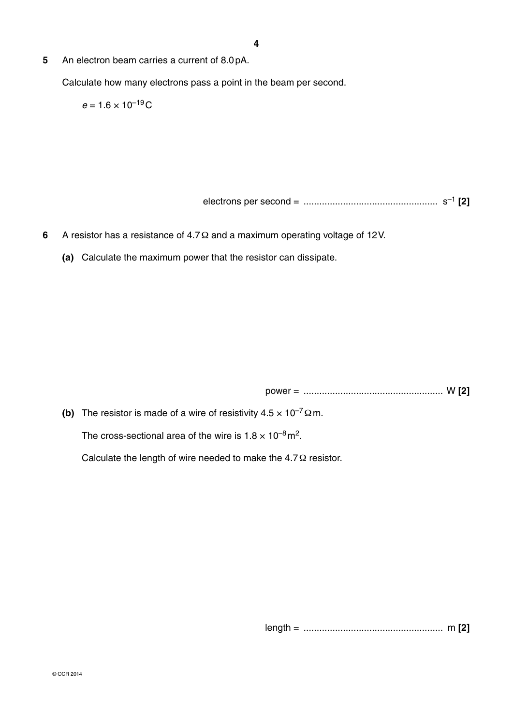**5** An electron beam carries a current of 8.0 pA.

Calculate how many electrons pass a point in the beam per second.

 $e = 1.6 \times 10^{-19}$ C

electrons per second = ................................................... s–1 **[2]**

- **6** A resistor has a resistance of 4.7 Ω and a maximum operating voltage of 12 V.
	- **(a)** Calculate the maximum power that the resistor can dissipate.

power = ..................................................... W **[2]**

**(b)** The resistor is made of a wire of resistivity  $4.5 \times 10^{-7} \Omega$  m.

The cross-sectional area of the wire is  $1.8 \times 10^{-8}$  m<sup>2</sup>.

Calculate the length of wire needed to make the 4.7 Ω resistor.

length = ..................................................... m **[2]**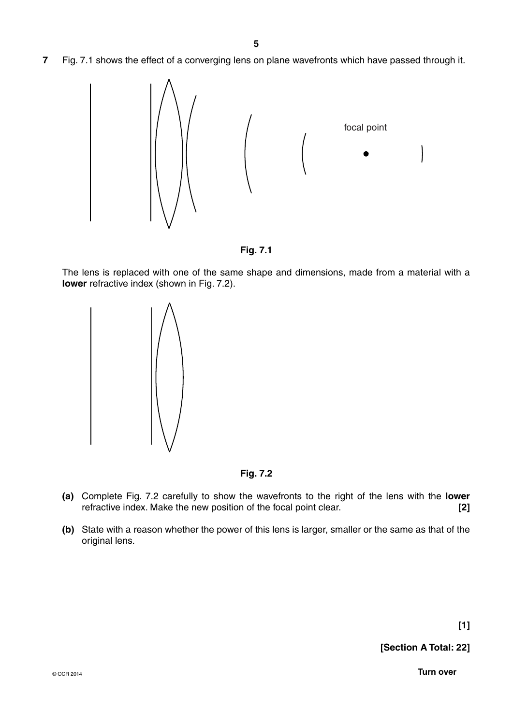**7** Fig. 7.1 shows the effect of a converging lens on plane wavefronts which have passed through it.





The lens is replaced with one of the same shape and dimensions, made from a material with a **lower** refractive index (shown in Fig. 7.2).





- **(a)** Complete Fig. 7.2 carefully to show the wavefronts to the right of the lens with the **lower** refractive index. Make the new position of the focal point clear. **[2]**
- **(b)** State with a reason whether the power of this lens is larger, smaller or the same as that of the original lens.

**[Section A Total: 22]**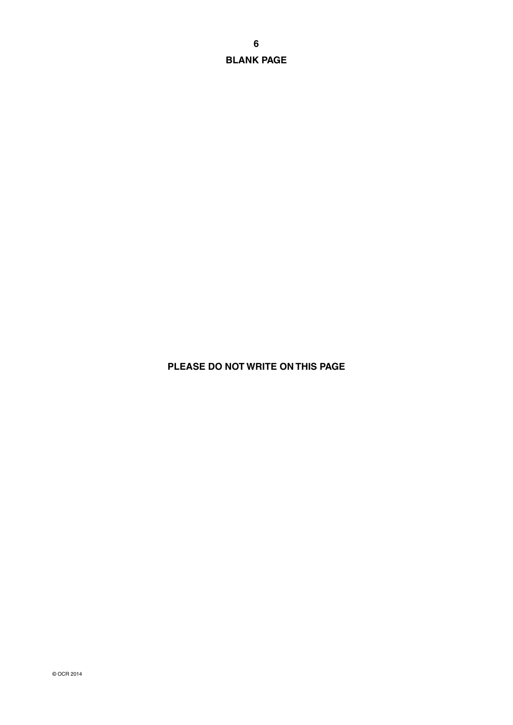**BLANK PAGE**

# **PLEASE DO NOT WRITE ON THIS PAGE**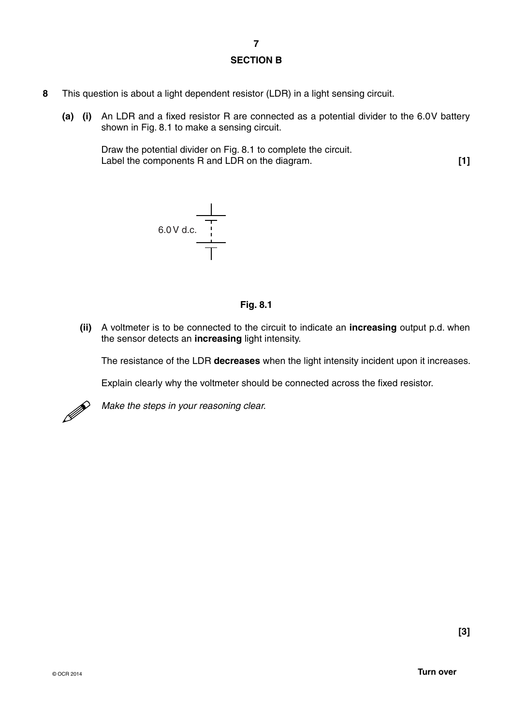### **SECTION B**

- **8** This question is about a light dependent resistor (LDR) in a light sensing circuit.
	- **(a)** (i) An LDR and a fixed resistor R are connected as a potential divider to the 6.0V battery shown in Fig. 8.1 to make a sensing circuit.

Draw the potential divider on Fig. 8.1 to complete the circuit. Label the components R and LDR on the diagram. **[1]**



# **Fig. 8.1**

 **(ii)** A voltmeter is to be connected to the circuit to indicate an **increasing** output p.d. when the sensor detects an **increasing** light intensity.

The resistance of the LDR **decreases** when the light intensity incident upon it increases.

Explain clearly why the voltmeter should be connected across the fixed resistor.



*Make the steps in your reasoning clear.*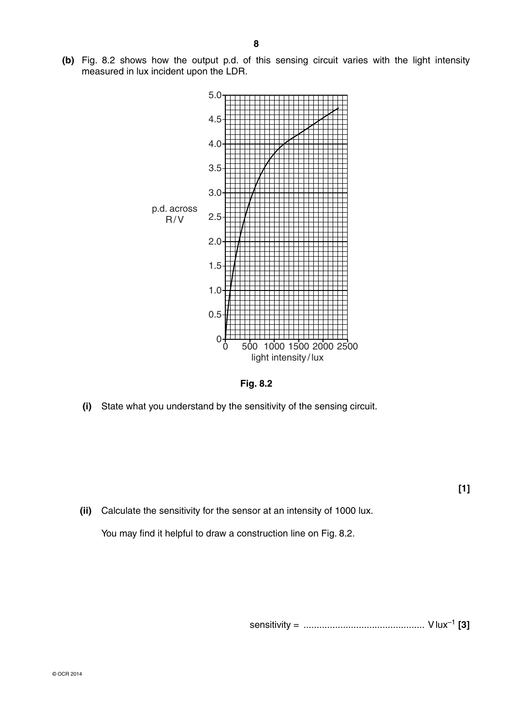**(b)** Fig. 8.2 shows how the output p.d. of this sensing circuit varies with the light intensity measured in lux incident upon the LDR.



**Fig. 8.2**

 **(i)** State what you understand by the sensitivity of the sensing circuit.

 **(ii)** Calculate the sensitivity for the sensor at an intensity of 1000 lux.

You may find it helpful to draw a construction line on Fig. 8.2.

sensitivity = .............................................. V lux–1 **[3]**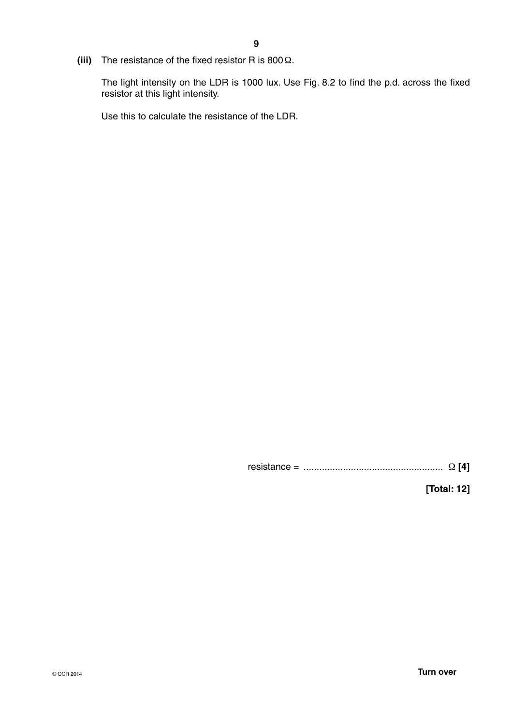**(iii)** The resistance of the fixed resistor R is 800 Ω.

The light intensity on the LDR is 1000 lux. Use Fig. 8.2 to find the p.d. across the fixed resistor at this light intensity.

Use this to calculate the resistance of the LDR.

resistance = ..................................................... Ω **[4]**

**[Total: 12]**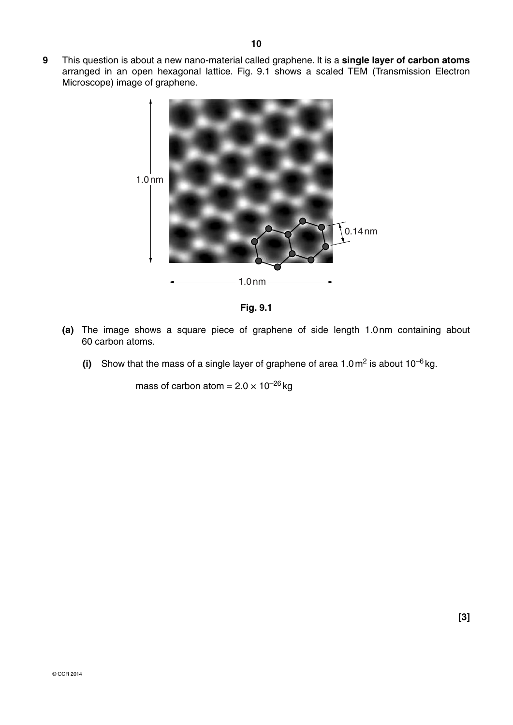**9** This question is about a new nano-material called graphene. It is a **single layer of carbon atoms** arranged in an open hexagonal lattice. Fig. 9.1 shows a scaled TEM (Transmission Electron Microscope) image of graphene.





- **(a)** The image shows a square piece of graphene of side length 1.0 nm containing about 60 carbon atoms.
	- **(i)** Show that the mass of a single layer of graphene of area  $1.0 \text{ m}^2$  is about  $10^{-6}$  kg.

mass of carbon atom =  $2.0 \times 10^{-26}$  kg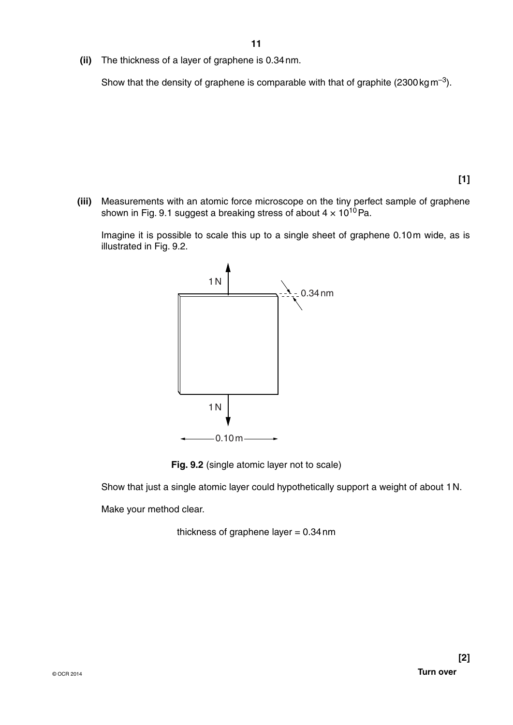**(ii)** The thickness of a layer of graphene is 0.34 nm.

Show that the density of graphene is comparable with that of graphite  $(2300 \text{ kg m}^{-3})$ .

**[1]**

 **(iii)** Measurements with an atomic force microscope on the tiny perfect sample of graphene shown in Fig. 9.1 suggest a breaking stress of about  $4 \times 10^{10}$  Pa.

Imagine it is possible to scale this up to a single sheet of graphene 0.10 m wide, as is illustrated in Fig. 9.2.



**Fig. 9.2** (single atomic layer not to scale)

Show that just a single atomic layer could hypothetically support a weight of about 1 N.

Make your method clear.

thickness of graphene layer  $= 0.34$  nm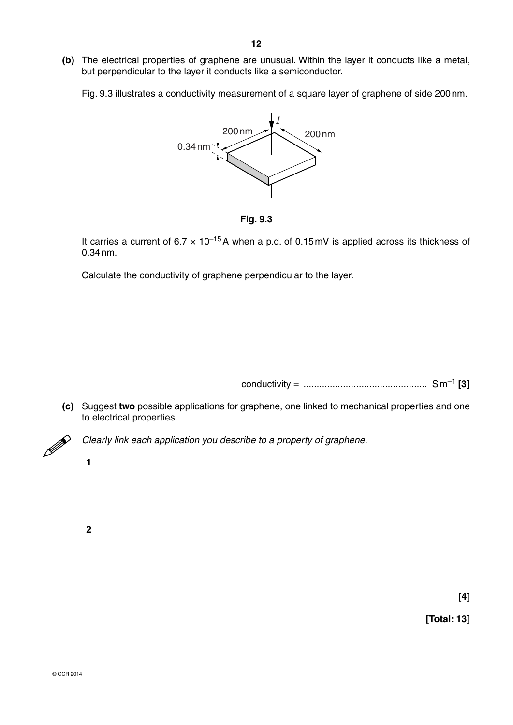**(b)** The electrical properties of graphene are unusual. Within the layer it conducts like a metal, but perpendicular to the layer it conducts like a semiconductor.

Fig. 9.3 illustrates a conductivity measurement of a square layer of graphene of side 200 nm.





It carries a current of 6.7 × 10–15 A when a p.d. of 0.15 mV is applied across its thickness of 0.34 nm.

Calculate the conductivity of graphene perpendicular to the layer.

conductivity = ............................................... S m–1 **[3]**

 **(c)** Suggest **two** possible applications for graphene, one linked to mechanical properties and one to electrical properties.



*Clearly link each application you describe to a property of graphene.*

 **2**

**[4]**

**[Total: 13]**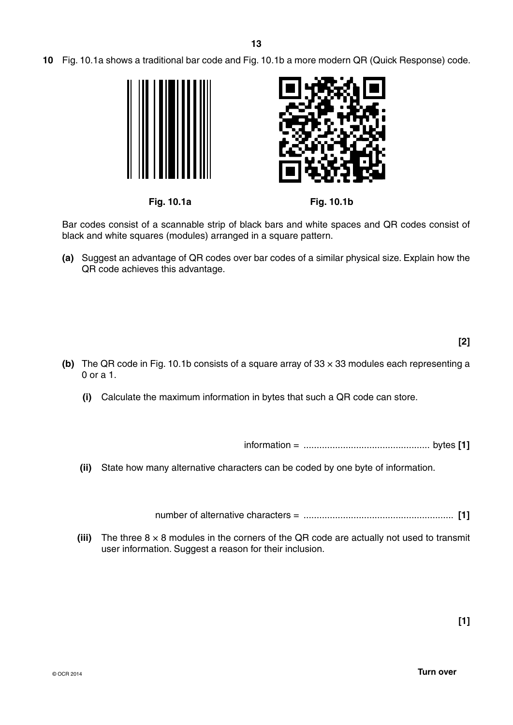**10** Fig. 10.1a shows a traditional bar code and Fig. 10.1b a more modern QR (Quick Response) code.







**Fig. 10.1a Fig. 10.1b**

Bar codes consist of a scannable strip of black bars and white spaces and QR codes consist of black and white squares (modules) arranged in a square pattern.

 **(a)** Suggest an advantage of QR codes over bar codes of a similar physical size. Explain how the QR code achieves this advantage.

- **(b)** The QR code in Fig. 10.1b consists of a square array of 33 × 33 modules each representing a 0 or a 1.
	- **(i)** Calculate the maximum information in bytes that such a QR code can store.

information = ................................................ bytes **[1]**

 **(ii)** State how many alternative characters can be coded by one byte of information.

number of alternative characters = ......................................................... **[1]**

**(iii)** The three  $8 \times 8$  modules in the corners of the QR code are actually not used to transmit user information. Suggest a reason for their inclusion.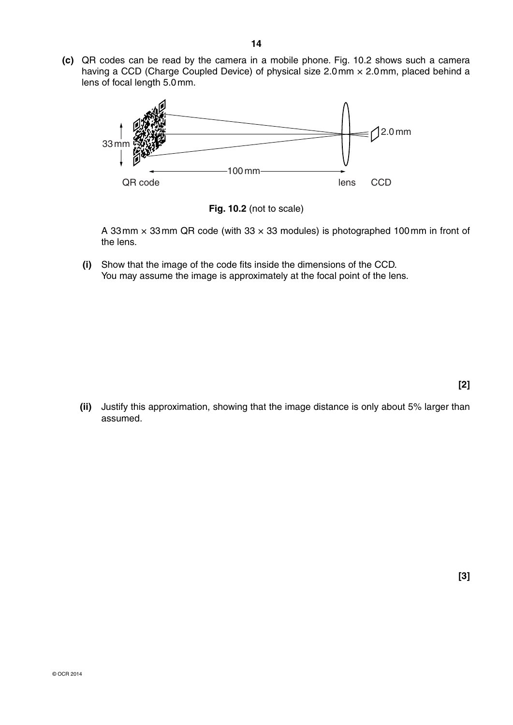**(c)** QR codes can be read by the camera in a mobile phone. Fig. 10.2 shows such a camera having a CCD (Charge Coupled Device) of physical size 2.0 mm × 2.0 mm, placed behind a lens of focal length 5.0 mm.



**Fig. 10.2** (not to scale)

A 33 mm × 33 mm QR code (with 33 × 33 modules) is photographed 100 mm in front of the lens.

 **(i)** Show that the image of the code fits inside the dimensions of the CCD. You may assume the image is approximately at the focal point of the lens.

 **(ii)** Justify this approximation, showing that the image distance is only about 5% larger than assumed.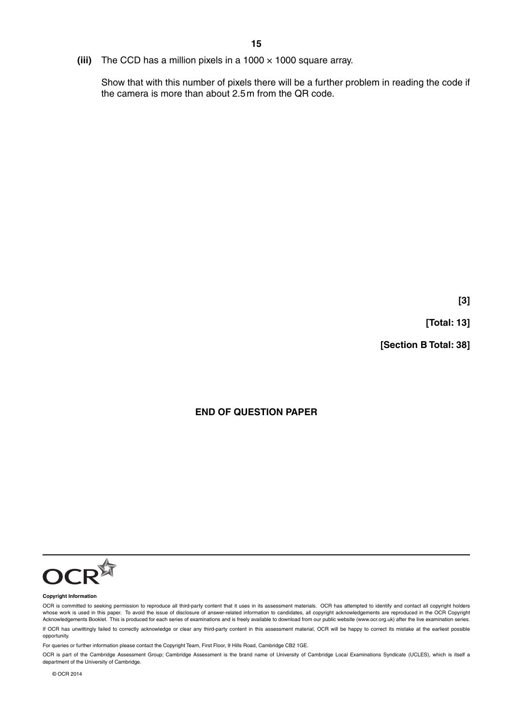**(iii)** The CCD has a million pixels in a 1000 × 1000 square array.

Show that with this number of pixels there will be a further problem in reading the code if the camera is more than about 2.5 m from the QR code.

**[3]**

**[Total: 13]**

**[Section B Total: 38]**

# **END OF QUESTION PAPER**



#### **Copyright Information**

OCR is committed to seeking permission to reproduce all third-party content that it uses in its assessment materials. OCR has attempted to identify and contact all copyright holders whose work is used in this paper. To avoid the issue of disclosure of answer-related information to candidates, all copyright acknowledgements are reproduced in the OCR Copyright Acknowledgements Booklet. This is produced for each series of examinations and is freely available to download from our public website (www.ocr.org.uk) after the live examination series. If OCR has unwittingly failed to correctly acknowledge or clear any third-party content in this assessment material, OCR will be happy to correct its mistake at the earliest possible opportunity.

For queries or further information please contact the Copyright Team, First Floor, 9 Hills Road, Cambridge CB2 1GE.

OCR is part of the Cambridge Assessment Group; Cambridge Assessment is the brand name of University of Cambridge Local Examinations Syndicate (UCLES), which is itself a department of the University of Cambridge.